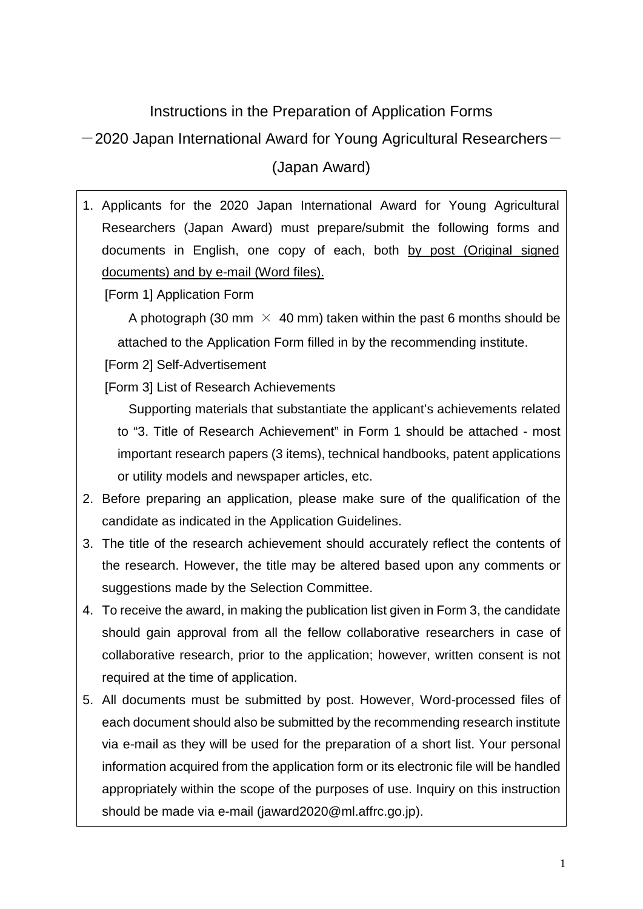## Instructions in the Preparation of Application Forms

 $-2020$  Japan International Award for Young Agricultural Researchers $-$ 

(Japan Award)

1. Applicants for the 2020 Japan International Award for Young Agricultural Researchers (Japan Award) must prepare/submit the following forms and documents in English, one copy of each, both by post (Original signed documents) and by e-mail (Word files).

[Form 1] Application Form

A photograph (30 mm  $\times$  40 mm) taken within the past 6 months should be attached to the Application Form filled in by the recommending institute.

[Form 2] Self-Advertisement

[Form 3] List of Research Achievements

Supporting materials that substantiate the applicant's achievements related to "3. Title of Research Achievement" in Form 1 should be attached - most important research papers (3 items), technical handbooks, patent applications or utility models and newspaper articles, etc.

- 2. Before preparing an application, please make sure of the qualification of the candidate as indicated in the Application Guidelines.
- 3. The title of the research achievement should accurately reflect the contents of the research. However, the title may be altered based upon any comments or suggestions made by the Selection Committee.
- 4. To receive the award, in making the publication list given in Form 3, the candidate should gain approval from all the fellow collaborative researchers in case of collaborative research, prior to the application; however, written consent is not required at the time of application.
- 5. All documents must be submitted by post. However, Word-processed files of each document should also be submitted by the recommending research institute via e-mail as they will be used for the preparation of a short list. Your personal information acquired from the application form or its electronic file will be handled appropriately within the scope of the purposes of use. Inquiry on this instruction should be made via e-mail (jaward2020@ml.affrc.go.jp).